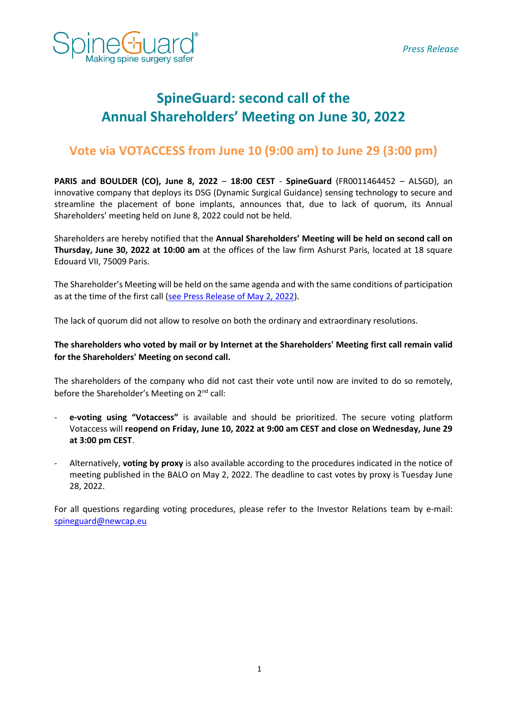

# **SpineGuard: second call of the Annual Shareholders' Meeting on June 30, 2022**

## **Vote via VOTACCESS from June 10 (9:00 am) to June 29 (3:00 pm)**

**PARIS and BOULDER (CO), June 8, 2022** – **18:00 CEST** - **SpineGuard** (FR0011464452 – ALSGD), an innovative company that deploys its DSG (Dynamic Surgical Guidance) sensing technology to secure and streamline the placement of bone implants, announces that, due to lack of quorum, its Annual Shareholders' meeting held on June 8, 2022 could not be held.

Shareholders are hereby notified that the **Annual Shareholders' Meeting will be held on second call on Thursday, June 30, 2022 at 10:00 am** at the offices of the law firm Ashurst Paris, located at 18 square Edouard VII, 75009 Paris.

The Shareholder's Meeting will be held on the same agenda and with the same conditions of participation as at the time of the first call [\(see Press Release of May 2, 2022\)](https://www.spineguard.com/wp-content/uploads/SpineGuard_PR_-05-02-2022-AGM-process_EN_vf.pdf).

The lack of quorum did not allow to resolve on both the ordinary and extraordinary resolutions.

### **The shareholders who voted by mail or by Internet at the Shareholders' Meeting first call remain valid for the Shareholders' Meeting on second call.**

The shareholders of the company who did not cast their vote until now are invited to do so remotely, before the Shareholder's Meeting on 2<sup>nd</sup> call:

- **e-voting using "Votaccess"** is available and should be prioritized. The secure voting platform Votaccess will **reopend on Friday, June 10, 2022 at 9:00 am CEST and close on Wednesday, June 29 at 3:00 pm CEST**.
- Alternatively, **voting by proxy** is also available according to the procedures indicated in the notice of meeting published in the BALO on May 2, 2022. The deadline to cast votes by proxy is Tuesday June 28, 2022.

For all questions regarding voting procedures, please refer to the Investor Relations team by e-mail: [spineguard@newcap.eu](mailto:spineguard@newcap.eu)